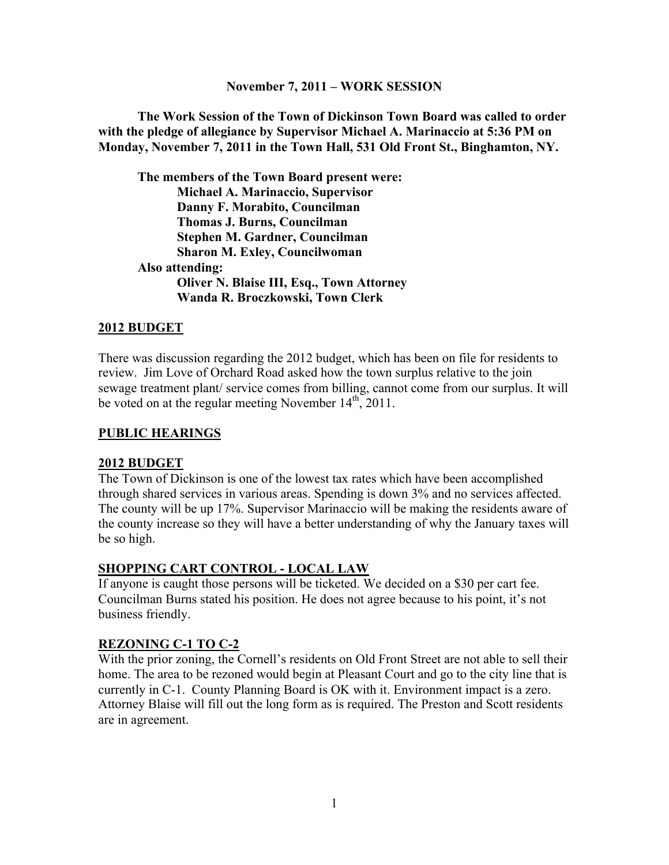#### **November 7, 2011 – WORK SESSION**

**The Work Session of the Town of Dickinson Town Board was called to order with the pledge of allegiance by Supervisor Michael A. Marinaccio at 5:36 PM on Monday, November 7, 2011 in the Town Hall, 531 Old Front St., Binghamton, NY.**

**The members of the Town Board present were: Michael A. Marinaccio, Supervisor Danny F. Morabito, Councilman Thomas J. Burns, Councilman Stephen M. Gardner, Councilman Sharon M. Exley, Councilwoman Also attending: Oliver N. Blaise III, Esq., Town Attorney Wanda R. Broczkowski, Town Clerk**

#### **2012 BUDGET**

There was discussion regarding the 2012 budget, which has been on file for residents to review. Jim Love of Orchard Road asked how the town surplus relative to the join sewage treatment plant/ service comes from billing, cannot come from our surplus. It will be voted on at the regular meeting November  $14<sup>th</sup>$ , 2011.

#### **PUBLIC HEARINGS**

#### **2012 BUDGET**

The Town of Dickinson is one of the lowest tax rates which have been accomplished through shared services in various areas. Spending is down 3% and no services affected. The county will be up 17%. Supervisor Marinaccio will be making the residents aware of the county increase so they will have a better understanding of why the January taxes will be so high.

#### **SHOPPING CART CONTROL - LOCAL LAW**

If anyone is caught those persons will be ticketed. We decided on a \$30 per cart fee. Councilman Burns stated his position. He does not agree because to his point, it's not business friendly.

#### **REZONING C-1 TO C-2**

With the prior zoning, the Cornell's residents on Old Front Street are not able to sell their home. The area to be rezoned would begin at Pleasant Court and go to the city line that is currently in C-1. County Planning Board is OK with it. Environment impact is a zero. Attorney Blaise will fill out the long form as is required. The Preston and Scott residents are in agreement.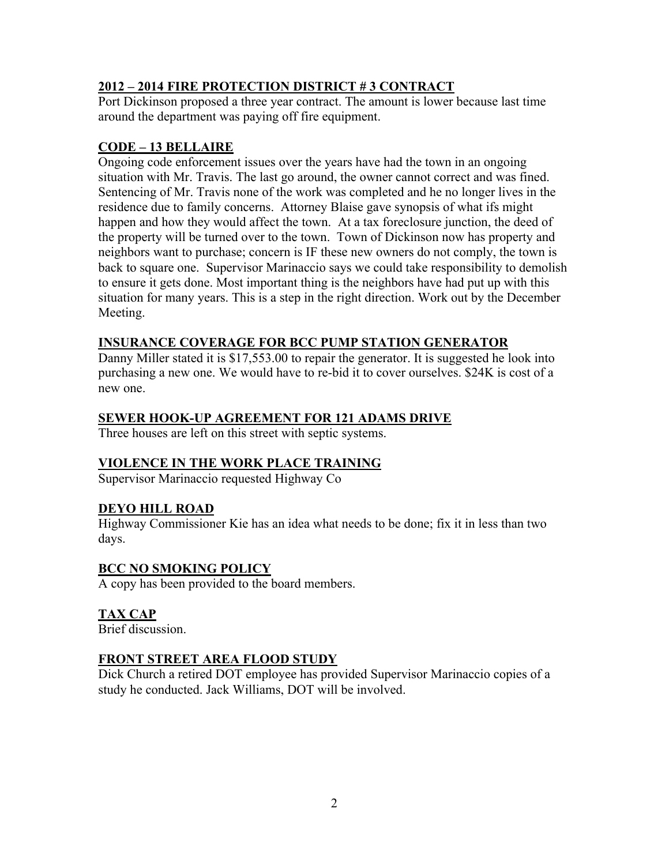## **2012 – 2014 FIRE PROTECTION DISTRICT # 3 CONTRACT**

Port Dickinson proposed a three year contract. The amount is lower because last time around the department was paying off fire equipment.

## **CODE – 13 BELLAIRE**

Ongoing code enforcement issues over the years have had the town in an ongoing situation with Mr. Travis. The last go around, the owner cannot correct and was fined. Sentencing of Mr. Travis none of the work was completed and he no longer lives in the residence due to family concerns. Attorney Blaise gave synopsis of what ifs might happen and how they would affect the town. At a tax foreclosure junction, the deed of the property will be turned over to the town. Town of Dickinson now has property and neighbors want to purchase; concern is IF these new owners do not comply, the town is back to square one. Supervisor Marinaccio says we could take responsibility to demolish to ensure it gets done. Most important thing is the neighbors have had put up with this situation for many years. This is a step in the right direction. Work out by the December Meeting.

### **INSURANCE COVERAGE FOR BCC PUMP STATION GENERATOR**

Danny Miller stated it is \$17,553.00 to repair the generator. It is suggested he look into purchasing a new one. We would have to re-bid it to cover ourselves. \$24K is cost of a new one.

### **SEWER HOOK-UP AGREEMENT FOR 121 ADAMS DRIVE**

Three houses are left on this street with septic systems.

## **VIOLENCE IN THE WORK PLACE TRAINING**

Supervisor Marinaccio requested Highway Co

## **DEYO HILL ROAD**

Highway Commissioner Kie has an idea what needs to be done; fix it in less than two days.

### **BCC NO SMOKING POLICY**

A copy has been provided to the board members.

# **TAX CAP**

Brief discussion.

### **FRONT STREET AREA FLOOD STUDY**

Dick Church a retired DOT employee has provided Supervisor Marinaccio copies of a study he conducted. Jack Williams, DOT will be involved.